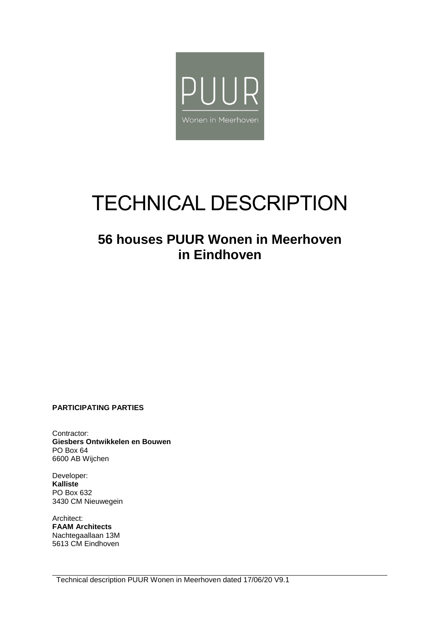

# TECHNICAL DESCRIPTION

## **56 houses PUUR Wonen in Meerhoven in Eindhoven**

**PARTICIPATING PARTIES**

Contractor: **Giesbers Ontwikkelen en Bouwen** PO Box 64 6600 AB Wijchen

Developer: **Kalliste** PO Box 632 3430 CM Nieuwegein

Architect: **FAAM Architects** Nachtegaallaan 13M 5613 CM Eindhoven

Technical description PUUR Wonen in Meerhoven dated 17/06/20 V9.1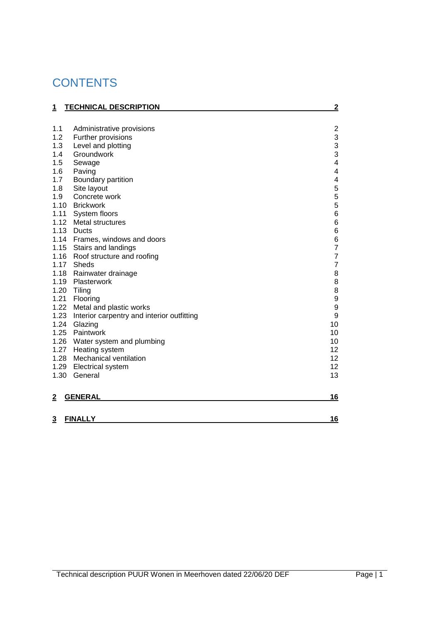## **CONTENTS**

| <u>1</u>       | <b>TECHNICAL DESCRIPTION</b>               | $\overline{2}$          |
|----------------|--------------------------------------------|-------------------------|
|                |                                            |                         |
| 1.1            | Administrative provisions                  | $\overline{2}$          |
| 1.2            | Further provisions                         | 3                       |
| 1.3            | Level and plotting                         | 3                       |
| 1.4            | Groundwork                                 | 3                       |
| 1.5            | Sewage                                     | $\overline{\mathbf{4}}$ |
| 1.6            | Paving                                     | 4                       |
| 1.7            | Boundary partition                         | 4                       |
| 1.8            | Site layout                                | 5556                    |
| 1.9            | Concrete work                              |                         |
|                | 1.10 Brickwork                             |                         |
| 1.11           | System floors                              |                         |
|                | 1.12 Metal structures                      | 6                       |
|                | 1.13 Ducts                                 | 6<br>6<br>7             |
|                | 1.14 Frames, windows and doors             |                         |
|                | 1.15 Stairs and landings                   |                         |
|                | 1.16 Roof structure and roofing            | $\overline{7}$          |
| 1.17           | Sheds                                      | $\overline{7}$          |
| 1.18           | Rainwater drainage                         | 8                       |
| 1.19           | Plasterwork                                | 8                       |
|                | 1.20 Tiling                                | 8                       |
| 1.21           | Flooring                                   | 9                       |
| 1.22           | Metal and plastic works                    | 9                       |
| 1.23           | Interior carpentry and interior outfitting | $\boldsymbol{9}$        |
| 1.24           | Glazing                                    | 10                      |
| 1.25           | Paintwork                                  | 10                      |
|                | 1.26 Water system and plumbing             | 10                      |
| 1.27           | Heating system                             | 12                      |
| 1.28           | Mechanical ventilation                     | 12                      |
| 1.29           | <b>Electrical system</b>                   | 12                      |
| 1.30           | General                                    | 13                      |
| $\overline{2}$ | <b>GENERAL</b>                             | 16                      |
| $\overline{3}$ | <b>FINALLY</b>                             | 16                      |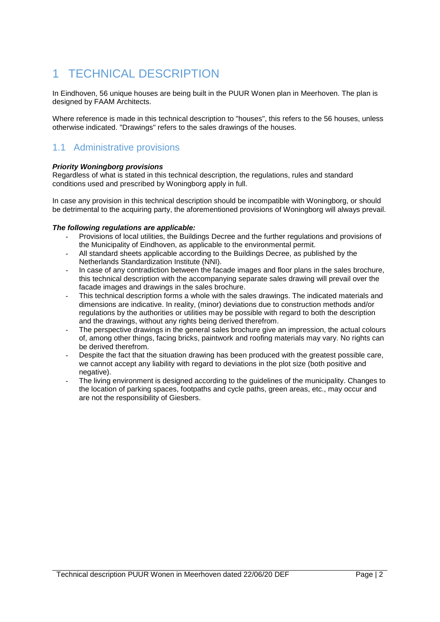## <span id="page-2-0"></span>1 TECHNICAL DESCRIPTION

In Eindhoven, 56 unique houses are being built in the PUUR Wonen plan in Meerhoven. The plan is designed by FAAM Architects.

Where reference is made in this technical description to "houses", this refers to the 56 houses, unless otherwise indicated. "Drawings" refers to the sales drawings of the houses.

## <span id="page-2-1"></span>1.1 Administrative provisions

#### *Priority Woningborg provisions*

Regardless of what is stated in this technical description, the regulations, rules and standard conditions used and prescribed by Woningborg apply in full.

In case any provision in this technical description should be incompatible with Woningborg, or should be detrimental to the acquiring party, the aforementioned provisions of Woningborg will always prevail.

#### *The following regulations are applicable:*

- Provisions of local utilities, the Buildings Decree and the further regulations and provisions of the Municipality of Eindhoven, as applicable to the environmental permit.
- All standard sheets applicable according to the Buildings Decree, as published by the Netherlands Standardization Institute (NNI).
- In case of any contradiction between the facade images and floor plans in the sales brochure, this technical description with the accompanying separate sales drawing will prevail over the facade images and drawings in the sales brochure.
- This technical description forms a whole with the sales drawings. The indicated materials and dimensions are indicative. In reality, (minor) deviations due to construction methods and/or regulations by the authorities or utilities may be possible with regard to both the description and the drawings, without any rights being derived therefrom.
- The perspective drawings in the general sales brochure give an impression, the actual colours of, among other things, facing bricks, paintwork and roofing materials may vary. No rights can be derived therefrom.
- Despite the fact that the situation drawing has been produced with the greatest possible care, we cannot accept any liability with regard to deviations in the plot size (both positive and negative).
- The living environment is designed according to the guidelines of the municipality. Changes to the location of parking spaces, footpaths and cycle paths, green areas, etc., may occur and are not the responsibility of Giesbers.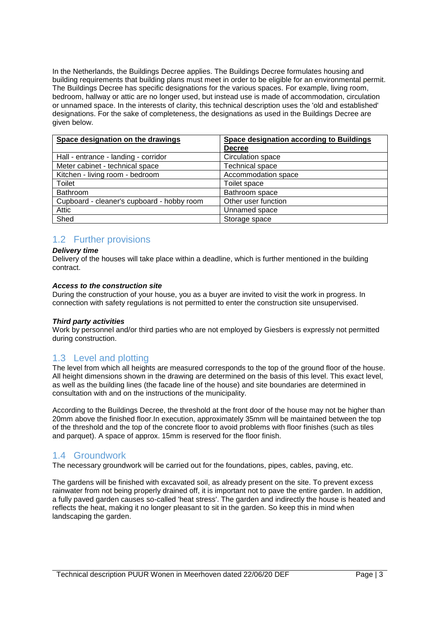In the Netherlands, the Buildings Decree applies. The Buildings Decree formulates housing and building requirements that building plans must meet in order to be eligible for an environmental permit. The Buildings Decree has specific designations for the various spaces. For example, living room, bedroom, hallway or attic are no longer used, but instead use is made of accommodation, circulation or unnamed space. In the interests of clarity, this technical description uses the 'old and established' designations. For the sake of completeness, the designations as used in the Buildings Decree are given below.

| Space designation on the drawings          | Space designation according to Buildings |
|--------------------------------------------|------------------------------------------|
|                                            | <b>Decree</b>                            |
| Hall - entrance - landing - corridor       | Circulation space                        |
| Meter cabinet - technical space            | <b>Technical space</b>                   |
| Kitchen - living room - bedroom            | Accommodation space                      |
| Toilet                                     | Toilet space                             |
| Bathroom                                   | Bathroom space                           |
| Cupboard - cleaner's cupboard - hobby room | Other user function                      |
| Attic                                      | Unnamed space                            |
| Shed                                       | Storage space                            |

## <span id="page-3-0"></span>1.2 Further provisions

#### *Delivery time*

Delivery of the houses will take place within a deadline, which is further mentioned in the building contract.

#### *Access to the construction site*

During the construction of your house, you as a buyer are invited to visit the work in progress. In connection with safety regulations is not permitted to enter the construction site unsupervised.

#### *Third party activities*

Work by personnel and/or third parties who are not employed by Giesbers is expressly not permitted during construction.

## <span id="page-3-1"></span>1.3 Level and plotting

The level from which all heights are measured corresponds to the top of the ground floor of the house. All height dimensions shown in the drawing are determined on the basis of this level. This exact level, as well as the building lines (the facade line of the house) and site boundaries are determined in consultation with and on the instructions of the municipality.

According to the Buildings Decree, the threshold at the front door of the house may not be higher than 20mm above the finished floor.In execution, approximately 35mm will be maintained between the top of the threshold and the top of the concrete floor to avoid problems with floor finishes (such as tiles and parquet). A space of approx. 15mm is reserved for the floor finish.

## <span id="page-3-2"></span>1.4 Groundwork

The necessary groundwork will be carried out for the foundations, pipes, cables, paving, etc.

The gardens will be finished with excavated soil, as already present on the site. To prevent excess rainwater from not being properly drained off, it is important not to pave the entire garden. In addition, a fully paved garden causes so-called 'heat stress'. The garden and indirectly the house is heated and reflects the heat, making it no longer pleasant to sit in the garden. So keep this in mind when landscaping the garden.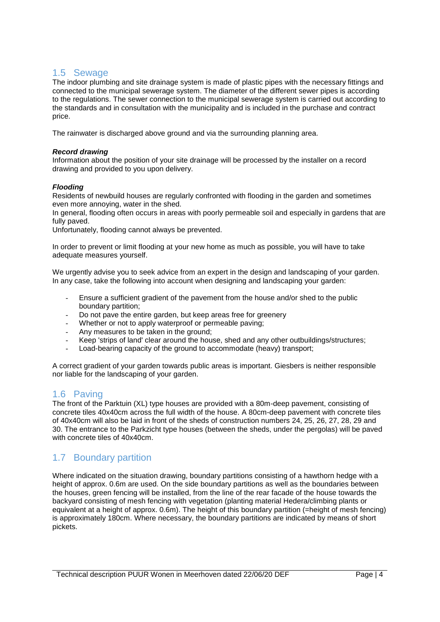## <span id="page-4-0"></span>1.5 Sewage

The indoor plumbing and site drainage system is made of plastic pipes with the necessary fittings and connected to the municipal sewerage system. The diameter of the different sewer pipes is according to the regulations. The sewer connection to the municipal sewerage system is carried out according to the standards and in consultation with the municipality and is included in the purchase and contract price.

The rainwater is discharged above ground and via the surrounding planning area.

#### *Record drawing*

Information about the position of your site drainage will be processed by the installer on a record drawing and provided to you upon delivery.

#### *Flooding*

Residents of newbuild houses are regularly confronted with flooding in the garden and sometimes even more annoying, water in the shed.

In general, flooding often occurs in areas with poorly permeable soil and especially in gardens that are fully paved.

Unfortunately, flooding cannot always be prevented.

In order to prevent or limit flooding at your new home as much as possible, you will have to take adequate measures yourself.

We urgently advise you to seek advice from an expert in the design and landscaping of your garden. In any case, take the following into account when designing and landscaping your garden:

- Ensure a sufficient gradient of the pavement from the house and/or shed to the public boundary partition;
- Do not pave the entire garden, but keep areas free for greenery
- Whether or not to apply waterproof or permeable paving;
- Any measures to be taken in the ground;
- Keep 'strips of land' clear around the house, shed and any other outbuildings/structures;
- Load-bearing capacity of the ground to accommodate (heavy) transport;

A correct gradient of your garden towards public areas is important. Giesbers is neither responsible nor liable for the landscaping of your garden.

## <span id="page-4-1"></span>1.6 Paving

The front of the Parktuin (XL) type houses are provided with a 80m-deep pavement, consisting of concrete tiles 40x40cm across the full width of the house. A 80cm-deep pavement with concrete tiles of 40x40cm will also be laid in front of the sheds of construction numbers 24, 25, 26, 27, 28, 29 and 30. The entrance to the Parkzicht type houses (between the sheds, under the pergolas) will be paved with concrete tiles of 40x40cm.

## <span id="page-4-2"></span>1.7 Boundary partition

Where indicated on the situation drawing, boundary partitions consisting of a hawthorn hedge with a height of approx. 0.6m are used. On the side boundary partitions as well as the boundaries between the houses, green fencing will be installed, from the line of the rear facade of the house towards the backyard consisting of mesh fencing with vegetation (planting material Hedera/climbing plants or equivalent at a height of approx. 0.6m). The height of this boundary partition (=height of mesh fencing) is approximately 180cm. Where necessary, the boundary partitions are indicated by means of short pickets.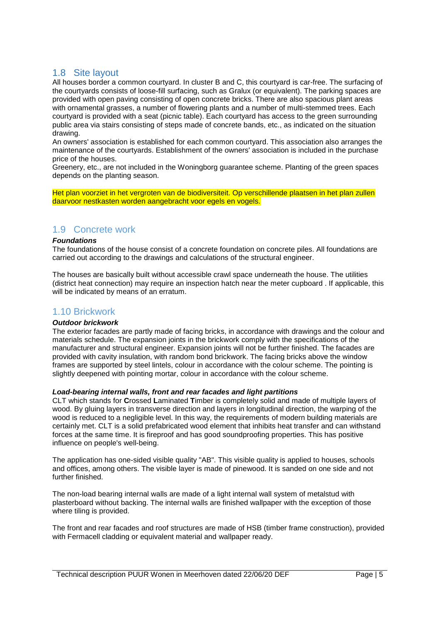## <span id="page-5-0"></span>1.8 Site layout

All houses border a common courtyard. In cluster B and C, this courtyard is car-free. The surfacing of the courtyards consists of loose-fill surfacing, such as Gralux (or equivalent). The parking spaces are provided with open paving consisting of open concrete bricks. There are also spacious plant areas with ornamental grasses, a number of flowering plants and a number of multi-stemmed trees. Each courtyard is provided with a seat (picnic table). Each courtyard has access to the green surrounding public area via stairs consisting of steps made of concrete bands, etc., as indicated on the situation drawing.

An owners' association is established for each common courtyard. This association also arranges the maintenance of the courtyards. Establishment of the owners' association is included in the purchase price of the houses.

Greenery, etc., are not included in the Woningborg guarantee scheme. Planting of the green spaces depends on the planting season.

Het plan voorziet in het vergroten van de biodiversiteit. Op verschillende plaatsen in het plan zullen daarvoor nestkasten worden aangebracht voor egels en vogels.

## <span id="page-5-1"></span>1.9 Concrete work

#### *Foundations*

The foundations of the house consist of a concrete foundation on concrete piles. All foundations are carried out according to the drawings and calculations of the structural engineer.

The houses are basically built without accessible crawl space underneath the house. The utilities (district heat connection) may require an inspection hatch near the meter cupboard . If applicable, this will be indicated by means of an erratum.

#### <span id="page-5-2"></span>1.10 Brickwork

#### *Outdoor brickwork*

The exterior facades are partly made of facing bricks, in accordance with drawings and the colour and materials schedule. The expansion joints in the brickwork comply with the specifications of the manufacturer and structural engineer. Expansion joints will not be further finished. The facades are provided with cavity insulation, with random bond brickwork. The facing bricks above the window frames are supported by steel lintels, colour in accordance with the colour scheme. The pointing is slightly deepened with pointing mortar, colour in accordance with the colour scheme.

#### *Load-bearing internal walls, front and rear facades and light partitions*

CLT which stands for **C**rossed **L**aminated **T**imber is completely solid and made of multiple layers of wood. By gluing layers in transverse direction and layers in longitudinal direction, the warping of the wood is reduced to a negligible level. In this way, the requirements of modern building materials are certainly met. CLT is a solid prefabricated wood element that inhibits heat transfer and can withstand forces at the same time. It is fireproof and has good soundproofing properties. This has positive influence on people's well-being.

The application has one-sided visible quality "AB". This visible quality is applied to houses, schools and offices, among others. The visible layer is made of pinewood. It is sanded on one side and not further finished.

The non-load bearing internal walls are made of a light internal wall system of metalstud with plasterboard without backing. The internal walls are finished wallpaper with the exception of those where tiling is provided.

The front and rear facades and roof structures are made of HSB (timber frame construction), provided with Fermacell cladding or equivalent material and wallpaper ready.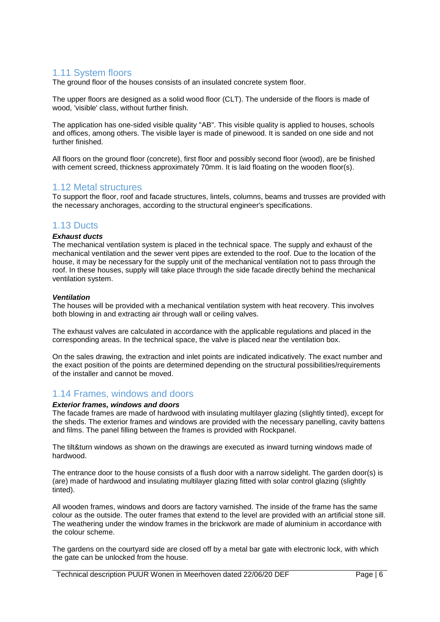## <span id="page-6-0"></span>1.11 System floors

The ground floor of the houses consists of an insulated concrete system floor.

The upper floors are designed as a solid wood floor (CLT). The underside of the floors is made of wood, 'visible' class, without further finish.

The application has one-sided visible quality "AB". This visible quality is applied to houses, schools and offices, among others. The visible layer is made of pinewood. It is sanded on one side and not further finished.

All floors on the ground floor (concrete), first floor and possibly second floor (wood), are be finished with cement screed, thickness approximately 70mm. It is laid floating on the wooden floor(s).

### <span id="page-6-1"></span>1.12 Metal structures

To support the floor, roof and facade structures, lintels, columns, beams and trusses are provided with the necessary anchorages, according to the structural engineer's specifications.

## <span id="page-6-2"></span>1.13 Ducts

#### *Exhaust ducts*

The mechanical ventilation system is placed in the technical space. The supply and exhaust of the mechanical ventilation and the sewer vent pipes are extended to the roof. Due to the location of the house, it may be necessary for the supply unit of the mechanical ventilation not to pass through the roof. In these houses, supply will take place through the side facade directly behind the mechanical ventilation system.

#### *Ventilation*

The houses will be provided with a mechanical ventilation system with heat recovery. This involves both blowing in and extracting air through wall or ceiling valves.

The exhaust valves are calculated in accordance with the applicable regulations and placed in the corresponding areas. In the technical space, the valve is placed near the ventilation box.

On the sales drawing, the extraction and inlet points are indicated indicatively. The exact number and the exact position of the points are determined depending on the structural possibilities/requirements of the installer and cannot be moved.

## <span id="page-6-3"></span>1.14 Frames, windows and doors

#### *Exterior frames, windows and doors*

The facade frames are made of hardwood with insulating multilayer glazing (slightly tinted), except for the sheds. The exterior frames and windows are provided with the necessary panelling, cavity battens and films. The panel filling between the frames is provided with Rockpanel.

The tilt&turn windows as shown on the drawings are executed as inward turning windows made of hardwood.

The entrance door to the house consists of a flush door with a narrow sidelight. The garden door(s) is (are) made of hardwood and insulating multilayer glazing fitted with solar control glazing (slightly tinted).

All wooden frames, windows and doors are factory varnished. The inside of the frame has the same colour as the outside. The outer frames that extend to the level are provided with an artificial stone sill. The weathering under the window frames in the brickwork are made of aluminium in accordance with the colour scheme.

The gardens on the courtyard side are closed off by a metal bar gate with electronic lock, with which the gate can be unlocked from the house.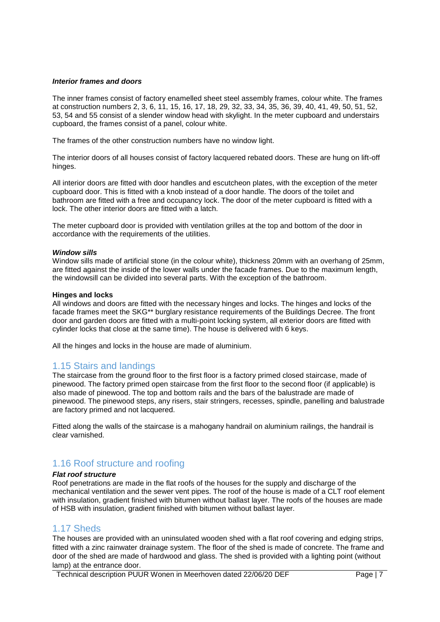#### *Interior frames and doors*

The inner frames consist of factory enamelled sheet steel assembly frames, colour white. The frames at construction numbers 2, 3, 6, 11, 15, 16, 17, 18, 29, 32, 33, 34, 35, 36, 39, 40, 41, 49, 50, 51, 52, 53, 54 and 55 consist of a slender window head with skylight. In the meter cupboard and understairs cupboard, the frames consist of a panel, colour white.

The frames of the other construction numbers have no window light.

The interior doors of all houses consist of factory lacquered rebated doors. These are hung on lift-off hinges.

All interior doors are fitted with door handles and escutcheon plates, with the exception of the meter cupboard door. This is fitted with a knob instead of a door handle. The doors of the toilet and bathroom are fitted with a free and occupancy lock. The door of the meter cupboard is fitted with a lock. The other interior doors are fitted with a latch.

The meter cupboard door is provided with ventilation grilles at the top and bottom of the door in accordance with the requirements of the utilities.

#### *Window sills*

Window sills made of artificial stone (in the colour white), thickness 20mm with an overhang of 25mm, are fitted against the inside of the lower walls under the facade frames. Due to the maximum length, the windowsill can be divided into several parts. With the exception of the bathroom.

#### **Hinges and locks**

All windows and doors are fitted with the necessary hinges and locks. The hinges and locks of the facade frames meet the SKG\*\* burglary resistance requirements of the Buildings Decree. The front door and garden doors are fitted with a multi-point locking system, all exterior doors are fitted with cylinder locks that close at the same time). The house is delivered with 6 keys.

All the hinges and locks in the house are made of aluminium.

#### <span id="page-7-0"></span>1.15 Stairs and landings

The staircase from the ground floor to the first floor is a factory primed closed staircase, made of pinewood. The factory primed open staircase from the first floor to the second floor (if applicable) is also made of pinewood. The top and bottom rails and the bars of the balustrade are made of pinewood. The pinewood steps, any risers, stair stringers, recesses, spindle, panelling and balustrade are factory primed and not lacquered.

Fitted along the walls of the staircase is a mahogany handrail on aluminium railings, the handrail is clear varnished.

## <span id="page-7-1"></span>1.16 Roof structure and roofing

#### *Flat roof structure*

Roof penetrations are made in the flat roofs of the houses for the supply and discharge of the mechanical ventilation and the sewer vent pipes. The roof of the house is made of a CLT roof element with insulation, gradient finished with bitumen without ballast layer. The roofs of the houses are made of HSB with insulation, gradient finished with bitumen without ballast layer.

#### <span id="page-7-2"></span>1.17 Sheds

The houses are provided with an uninsulated wooden shed with a flat roof covering and edging strips, fitted with a zinc rainwater drainage system. The floor of the shed is made of concrete. The frame and door of the shed are made of hardwood and glass. The shed is provided with a lighting point (without lamp) at the entrance door.

Technical description PUUR Wonen in Meerhoven dated 22/06/20 DEF Page | 7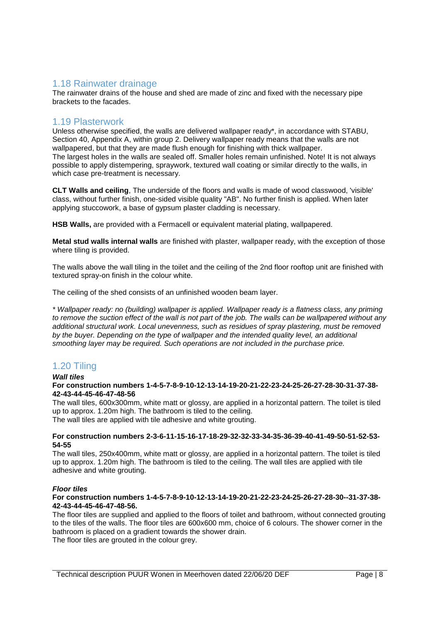### <span id="page-8-0"></span>1.18 Rainwater drainage

The rainwater drains of the house and shed are made of zinc and fixed with the necessary pipe brackets to the facades.

#### <span id="page-8-1"></span>1.19 Plasterwork

Unless otherwise specified, the walls are delivered wallpaper ready\*, in accordance with STABU, Section 40, Appendix A, within group 2. Delivery wallpaper ready means that the walls are not wallpapered, but that they are made flush enough for finishing with thick wallpaper. The largest holes in the walls are sealed off. Smaller holes remain unfinished. Note! It is not always possible to apply distempering, spraywork, textured wall coating or similar directly to the walls, in which case pre-treatment is necessary.

**CLT Walls and ceiling**, The underside of the floors and walls is made of wood classwood, 'visible' class, without further finish, one-sided visible quality "AB". No further finish is applied. When later applying stuccowork, a base of gypsum plaster cladding is necessary.

**HSB Walls,** are provided with a Fermacell or equivalent material plating, wallpapered.

**Metal stud walls internal walls** are finished with plaster, wallpaper ready, with the exception of those where tiling is provided.

The walls above the wall tiling in the toilet and the ceiling of the 2nd floor rooftop unit are finished with textured spray-on finish in the colour white.

The ceiling of the shed consists of an unfinished wooden beam layer.

*\* Wallpaper ready: no (building) wallpaper is applied. Wallpaper ready is a flatness class, any priming to remove the suction effect of the wall is not part of the job. The walls can be wallpapered without any additional structural work. Local unevenness, such as residues of spray plastering, must be removed by the buyer. Depending on the type of wallpaper and the intended quality level, an additional smoothing layer may be required. Such operations are not included in the purchase price.*

## <span id="page-8-2"></span>1.20 Tiling

### *Wall tiles*

#### **For construction numbers 1-4-5-7-8-9-10-12-13-14-19-20-21-22-23-24-25-26-27-28-30-31-37-38- 42-43-44-45-46-47-48-56**

The wall tiles, 600x300mm, white matt or glossy, are applied in a horizontal pattern. The toilet is tiled up to approx. 1.20m high. The bathroom is tiled to the ceiling. The wall tiles are applied with tile adhesive and white grouting.

#### **For construction numbers 2-3-6-11-15-16-17-18-29-32-32-33-34-35-36-39-40-41-49-50-51-52-53- 54-55**

The wall tiles, 250x400mm, white matt or glossy, are applied in a horizontal pattern. The toilet is tiled up to approx. 1.20m high. The bathroom is tiled to the ceiling. The wall tiles are applied with tile adhesive and white grouting.

#### *Floor tiles*

#### **For construction numbers 1-4-5-7-8-9-10-12-13-14-19-20-21-22-23-24-25-26-27-28-30--31-37-38- 42-43-44-45-46-47-48-56.**

The floor tiles are supplied and applied to the floors of toilet and bathroom, without connected grouting to the tiles of the walls. The floor tiles are 600x600 mm, choice of 6 colours. The shower corner in the bathroom is placed on a gradient towards the shower drain.

The floor tiles are grouted in the colour grey.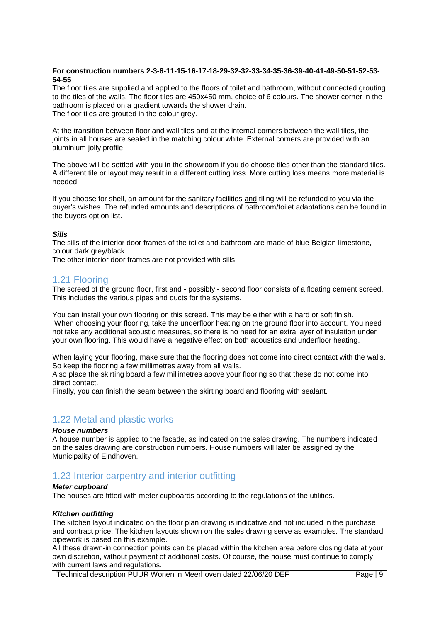#### **For construction numbers 2-3-6-11-15-16-17-18-29-32-32-33-34-35-36-39-40-41-49-50-51-52-53- 54-55**

The floor tiles are supplied and applied to the floors of toilet and bathroom, without connected grouting to the tiles of the walls. The floor tiles are 450x450 mm, choice of 6 colours. The shower corner in the bathroom is placed on a gradient towards the shower drain. The floor tiles are grouted in the colour grey.

At the transition between floor and wall tiles and at the internal corners between the wall tiles, the joints in all houses are sealed in the matching colour white. External corners are provided with an aluminium jolly profile.

The above will be settled with you in the showroom if you do choose tiles other than the standard tiles. A different tile or layout may result in a different cutting loss. More cutting loss means more material is needed.

If you choose for shell, an amount for the sanitary facilities and tiling will be refunded to you via the buyer's wishes. The refunded amounts and descriptions of bathroom/toilet adaptations can be found in the buyers option list.

#### *Sills*

The sills of the interior door frames of the toilet and bathroom are made of blue Belgian limestone, colour dark grey/black.

The other interior door frames are not provided with sills.

### <span id="page-9-0"></span>1.21 Flooring

The screed of the ground floor, first and - possibly - second floor consists of a floating cement screed. This includes the various pipes and ducts for the systems.

You can install your own flooring on this screed. This may be either with a hard or soft finish. When choosing your flooring, take the underfloor heating on the ground floor into account. You need not take any additional acoustic measures, so there is no need for an extra layer of insulation under your own flooring. This would have a negative effect on both acoustics and underfloor heating.

When laying your flooring, make sure that the flooring does not come into direct contact with the walls. So keep the flooring a few millimetres away from all walls.

Also place the skirting board a few millimetres above your flooring so that these do not come into direct contact.

Finally, you can finish the seam between the skirting board and flooring with sealant.

## <span id="page-9-1"></span>1.22 Metal and plastic works

#### *House numbers*

A house number is applied to the facade, as indicated on the sales drawing. The numbers indicated on the sales drawing are construction numbers. House numbers will later be assigned by the Municipality of Eindhoven.

## <span id="page-9-2"></span>1.23 Interior carpentry and interior outfitting

#### *Meter cupboard*

The houses are fitted with meter cupboards according to the regulations of the utilities.

#### *Kitchen outfitting*

The kitchen layout indicated on the floor plan drawing is indicative and not included in the purchase and contract price. The kitchen layouts shown on the sales drawing serve as examples. The standard pipework is based on this example.

All these drawn-in connection points can be placed within the kitchen area before closing date at your own discretion, without payment of additional costs. Of course, the house must continue to comply with current laws and regulations.

Technical description PUUR Wonen in Meerhoven dated 22/06/20 DEF Page | 9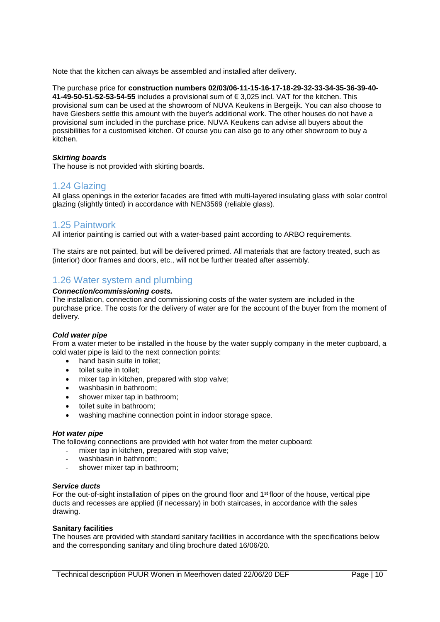Note that the kitchen can always be assembled and installed after delivery.

The purchase price for **construction numbers 02/03/06-11-15-16-17-18-29-32-33-34-35-36-39-40- 41-49-50-51-52-53-54-55** includes a provisional sum of € 3,025 incl. VAT for the kitchen. This provisional sum can be used at the showroom of NUVA Keukens in Bergeijk. You can also choose to have Giesbers settle this amount with the buyer's additional work. The other houses do not have a provisional sum included in the purchase price. NUVA Keukens can advise all buyers about the possibilities for a customised kitchen. Of course you can also go to any other showroom to buy a kitchen.

#### *Skirting boards*

The house is not provided with skirting boards.

#### <span id="page-10-0"></span>1.24 Glazing

All glass openings in the exterior facades are fitted with multi-layered insulating glass with solar control glazing (slightly tinted) in accordance with NEN3569 (reliable glass).

#### <span id="page-10-1"></span>1.25 Paintwork

All interior painting is carried out with a water-based paint according to ARBO requirements.

The stairs are not painted, but will be delivered primed. All materials that are factory treated, such as (interior) door frames and doors, etc., will not be further treated after assembly.

## <span id="page-10-2"></span>1.26 Water system and plumbing

#### *Connection/commissioning costs.*

The installation, connection and commissioning costs of the water system are included in the purchase price. The costs for the delivery of water are for the account of the buyer from the moment of delivery.

#### *Cold water pipe*

From a water meter to be installed in the house by the water supply company in the meter cupboard, a cold water pipe is laid to the next connection points:

- hand basin suite in toilet:
- toilet suite in toilet:
- mixer tap in kitchen, prepared with stop valve;
- washbasin in bathroom;
- shower mixer tap in bathroom;
- toilet suite in bathroom;
- washing machine connection point in indoor storage space.

#### *Hot water pipe*

The following connections are provided with hot water from the meter cupboard:

- mixer tap in kitchen, prepared with stop valve;
- washbasin in bathroom;
- shower mixer tap in bathroom;

#### *Service ducts*

For the out-of-sight installation of pipes on the ground floor and 1<sup>st</sup> floor of the house, vertical pipe ducts and recesses are applied (if necessary) in both staircases, in accordance with the sales drawing.

#### **Sanitary facilities**

The houses are provided with standard sanitary facilities in accordance with the specifications below and the corresponding sanitary and tiling brochure dated 16/06/20.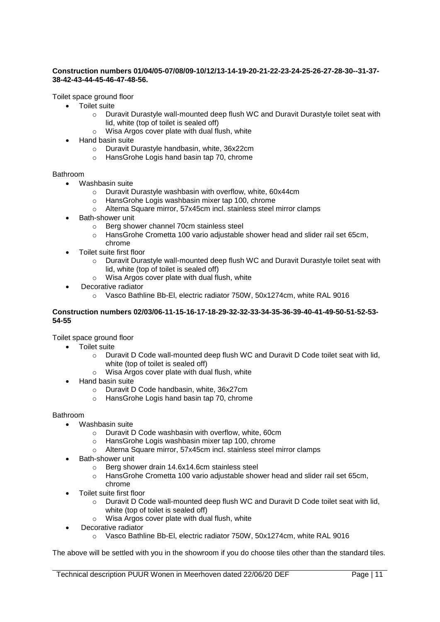#### **Construction numbers 01/04/05-07/08/09-10/12/13-14-19-20-21-22-23-24-25-26-27-28-30--31-37- 38-42-43-44-45-46-47-48-56.**

Toilet space ground floor

- Toilet suite
	- $\circ$  Duravit Durastyle wall-mounted deep flush WC and Duravit Durastyle toilet seat with lid, white (top of toilet is sealed off)
	- o Wisa Argos cover plate with dual flush, white
- Hand basin suite
	- o Duravit Durastyle handbasin, white, 36x22cm
	- o HansGrohe Logis hand basin tap 70, chrome

#### Bathroom

- Washbasin suite
	- o Duravit Durastyle washbasin with overflow, white, 60x44cm
	- o HansGrohe Logis washbasin mixer tap 100, chrome
	- o Alterna Square mirror, 57x45cm incl. stainless steel mirror clamps
- Bath-shower unit
	- o Berg shower channel 70cm stainless steel
	- o HansGrohe Crometta 100 vario adjustable shower head and slider rail set 65cm, chrome
- Toilet suite first floor
	- $\circ$  Duravit Durastyle wall-mounted deep flush WC and Duravit Durastyle toilet seat with lid, white (top of toilet is sealed off)
	- o Wisa Argos cover plate with dual flush, white
- Decorative radiator
	- o Vasco Bathline Bb-El, electric radiator 750W, 50x1274cm, white RAL 9016

#### **Construction numbers 02/03/06-11-15-16-17-18-29-32-32-33-34-35-36-39-40-41-49-50-51-52-53- 54-55**

Toilet space ground floor

- Toilet suite
	- $\circ$  Duravit D Code wall-mounted deep flush WC and Duravit D Code toilet seat with lid, white (top of toilet is sealed off)
	- o Wisa Argos cover plate with dual flush, white
	- Hand basin suite
		- o Duravit D Code handbasin, white, 36x27cm
		- o HansGrohe Logis hand basin tap 70, chrome

#### Bathroom

- Washbasin suite
	- o Duravit D Code washbasin with overflow, white, 60cm
	- o HansGrohe Logis washbasin mixer tap 100, chrome
	- o Alterna Square mirror, 57x45cm incl. stainless steel mirror clamps
- Bath-shower unit
	- o Berg shower drain 14.6x14.6cm stainless steel
	- o HansGrohe Crometta 100 vario adjustable shower head and slider rail set 65cm, chrome
- Toilet suite first floor
	- o Duravit D Code wall-mounted deep flush WC and Duravit D Code toilet seat with lid, white (top of toilet is sealed off)
	- o Wisa Argos cover plate with dual flush, white
- Decorative radiator
	- o Vasco Bathline Bb-El, electric radiator 750W, 50x1274cm, white RAL 9016

The above will be settled with you in the showroom if you do choose tiles other than the standard tiles.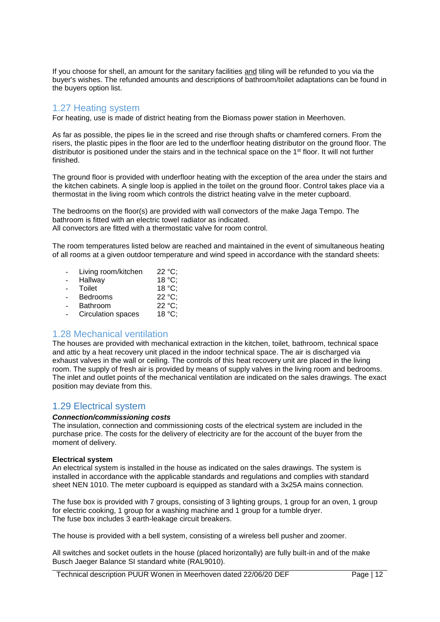If you choose for shell, an amount for the sanitary facilities and tiling will be refunded to you via the buyer's wishes. The refunded amounts and descriptions of bathroom/toilet adaptations can be found in the buyers option list.

## <span id="page-12-0"></span>1.27 Heating system

For heating, use is made of district heating from the Biomass power station in Meerhoven.

As far as possible, the pipes lie in the screed and rise through shafts or chamfered corners. From the risers, the plastic pipes in the floor are led to the underfloor heating distributor on the ground floor. The distributor is positioned under the stairs and in the technical space on the 1st floor. It will not further finished.

The ground floor is provided with underfloor heating with the exception of the area under the stairs and the kitchen cabinets. A single loop is applied in the toilet on the ground floor. Control takes place via a thermostat in the living room which controls the district heating valve in the meter cupboard.

The bedrooms on the floor(s) are provided with wall convectors of the make Jaga Tempo. The bathroom is fitted with an electric towel radiator as indicated. All convectors are fitted with a thermostatic valve for room control.

The room temperatures listed below are reached and maintained in the event of simultaneous heating of all rooms at a given outdoor temperature and wind speed in accordance with the standard sheets:

| Living room/kitchen | $22 °C$ ; |
|---------------------|-----------|
| Hallway             | 18 °C:    |
| Toilet              | 18 °C:    |
| <b>Bedrooms</b>     | 22 °C:    |
| <b>Bathroom</b>     | 22 °C     |
| Circulation spaces  | 18 °C:    |

## <span id="page-12-1"></span>1.28 Mechanical ventilation

The houses are provided with mechanical extraction in the kitchen, toilet, bathroom, technical space and attic by a heat recovery unit placed in the indoor technical space. The air is discharged via exhaust valves in the wall or ceiling. The controls of this heat recovery unit are placed in the living room. The supply of fresh air is provided by means of supply valves in the living room and bedrooms. The inlet and outlet points of the mechanical ventilation are indicated on the sales drawings. The exact position may deviate from this.

## <span id="page-12-2"></span>1.29 Electrical system

#### *Connection/commissioning costs*

The insulation, connection and commissioning costs of the electrical system are included in the purchase price. The costs for the delivery of electricity are for the account of the buyer from the moment of delivery.

#### **Electrical system**

An electrical system is installed in the house as indicated on the sales drawings. The system is installed in accordance with the applicable standards and regulations and complies with standard sheet NEN 1010. The meter cupboard is equipped as standard with a 3x25A mains connection.

The fuse box is provided with 7 groups, consisting of 3 lighting groups, 1 group for an oven, 1 group for electric cooking, 1 group for a washing machine and 1 group for a tumble dryer. The fuse box includes 3 earth-leakage circuit breakers.

The house is provided with a bell system, consisting of a wireless bell pusher and zoomer.

All switches and socket outlets in the house (placed horizontally) are fully built-in and of the make Busch Jaeger Balance SI standard white (RAL9010).

Technical description PUUR Wonen in Meerhoven dated 22/06/20 DEF Page | 12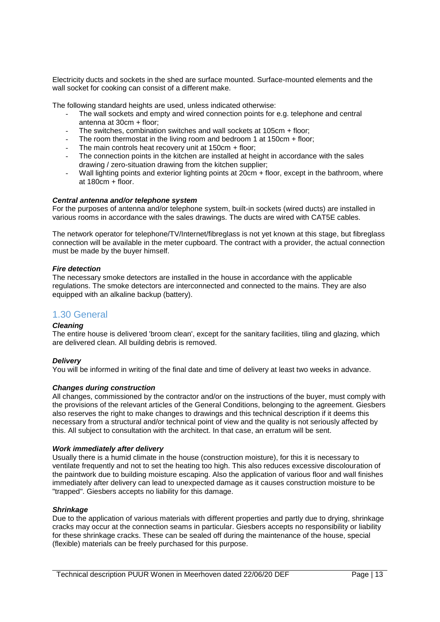Electricity ducts and sockets in the shed are surface mounted. Surface-mounted elements and the wall socket for cooking can consist of a different make.

The following standard heights are used, unless indicated otherwise:

- The wall sockets and empty and wired connection points for e.g. telephone and central antenna at 30cm + floor;
- The switches, combination switches and wall sockets at 105cm + floor;
- The room thermostat in the living room and bedroom 1 at 150cm + floor;
- The main controls heat recovery unit at 150cm + floor:
- The connection points in the kitchen are installed at height in accordance with the sales drawing / zero-situation drawing from the kitchen supplier;
- Wall lighting points and exterior lighting points at 20cm + floor, except in the bathroom, where at 180cm + floor.

#### *Central antenna and/or telephone system*

For the purposes of antenna and/or telephone system, built-in sockets (wired ducts) are installed in various rooms in accordance with the sales drawings. The ducts are wired with CAT5E cables.

The network operator for telephone/TV/Internet/fibreglass is not yet known at this stage, but fibreglass connection will be available in the meter cupboard. The contract with a provider, the actual connection must be made by the buyer himself.

#### *Fire detection*

The necessary smoke detectors are installed in the house in accordance with the applicable regulations. The smoke detectors are interconnected and connected to the mains. They are also equipped with an alkaline backup (battery).

### <span id="page-13-0"></span>1.30 General

#### *Cleaning*

The entire house is delivered 'broom clean', except for the sanitary facilities, tiling and glazing, which are delivered clean. All building debris is removed.

#### *Delivery*

You will be informed in writing of the final date and time of delivery at least two weeks in advance.

#### *Changes during construction*

All changes, commissioned by the contractor and/or on the instructions of the buyer, must comply with the provisions of the relevant articles of the General Conditions, belonging to the agreement. Giesbers also reserves the right to make changes to drawings and this technical description if it deems this necessary from a structural and/or technical point of view and the quality is not seriously affected by this. All subject to consultation with the architect. In that case, an erratum will be sent.

#### *Work immediately after delivery*

Usually there is a humid climate in the house (construction moisture), for this it is necessary to ventilate frequently and not to set the heating too high. This also reduces excessive discolouration of the paintwork due to building moisture escaping. Also the application of various floor and wall finishes immediately after delivery can lead to unexpected damage as it causes construction moisture to be "trapped". Giesbers accepts no liability for this damage.

#### *Shrinkage*

Due to the application of various materials with different properties and partly due to drying, shrinkage cracks may occur at the connection seams in particular. Giesbers accepts no responsibility or liability for these shrinkage cracks. These can be sealed off during the maintenance of the house, special (flexible) materials can be freely purchased for this purpose.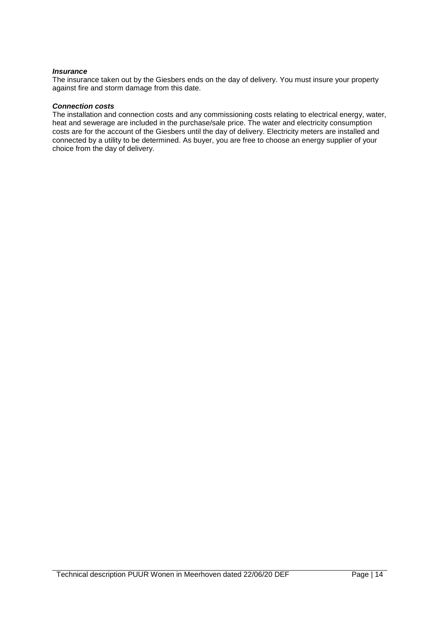#### *Insurance*

The insurance taken out by the Giesbers ends on the day of delivery. You must insure your property against fire and storm damage from this date.

#### *Connection costs*

The installation and connection costs and any commissioning costs relating to electrical energy, water, heat and sewerage are included in the purchase/sale price. The water and electricity consumption costs are for the account of the Giesbers until the day of delivery. Electricity meters are installed and connected by a utility to be determined. As buyer, you are free to choose an energy supplier of your choice from the day of delivery.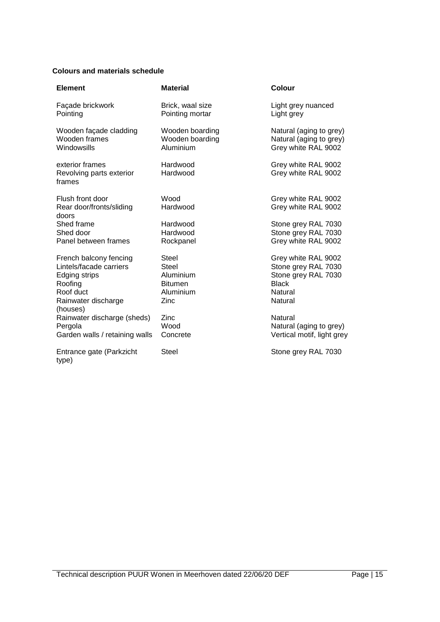## **Colours and materials schedule**

| <b>Element</b>                                                                                                    | <b>Material</b>                                                           | Colour                                                                                                  |
|-------------------------------------------------------------------------------------------------------------------|---------------------------------------------------------------------------|---------------------------------------------------------------------------------------------------------|
| Façade brickwork<br>Pointing                                                                                      | Brick, waal size<br>Pointing mortar                                       | Light grey nuanced<br>Light grey                                                                        |
| Wooden façade cladding<br>Wooden frames<br>Windowsills                                                            | Wooden boarding<br>Wooden boarding<br>Aluminium                           | Natural (aging to grey)<br>Natural (aging to grey)<br>Grey white RAL 9002                               |
| exterior frames<br>Revolving parts exterior<br>frames                                                             | Hardwood<br>Hardwood                                                      | Grey white RAL 9002<br>Grey white RAL 9002                                                              |
| Flush front door<br>Rear door/fronts/sliding<br>doors                                                             | Wood<br>Hardwood                                                          | Grey white RAL 9002<br>Grey white RAL 9002                                                              |
| Shed frame<br>Shed door<br>Panel between frames                                                                   | Hardwood<br>Hardwood<br>Rockpanel                                         | Stone grey RAL 7030<br>Stone grey RAL 7030<br>Grey white RAL 9002                                       |
| French balcony fencing<br>Lintels/facade carriers<br>Edging strips<br>Roofing<br>Roof duct<br>Rainwater discharge | Steel<br><b>Steel</b><br>Aluminium<br><b>Bitumen</b><br>Aluminium<br>Zinc | Grey white RAL 9002<br>Stone grey RAL 7030<br>Stone grey RAL 7030<br><b>Black</b><br>Natural<br>Natural |
| (houses)<br>Rainwater discharge (sheds)<br>Pergola<br>Garden walls / retaining walls                              | Zinc<br>Wood<br>Concrete                                                  | Natural<br>Natural (aging to grey)<br>Vertical motif, light grey                                        |
| Entrance gate (Parkzicht<br>type)                                                                                 | <b>Steel</b>                                                              | Stone grey RAL 7030                                                                                     |